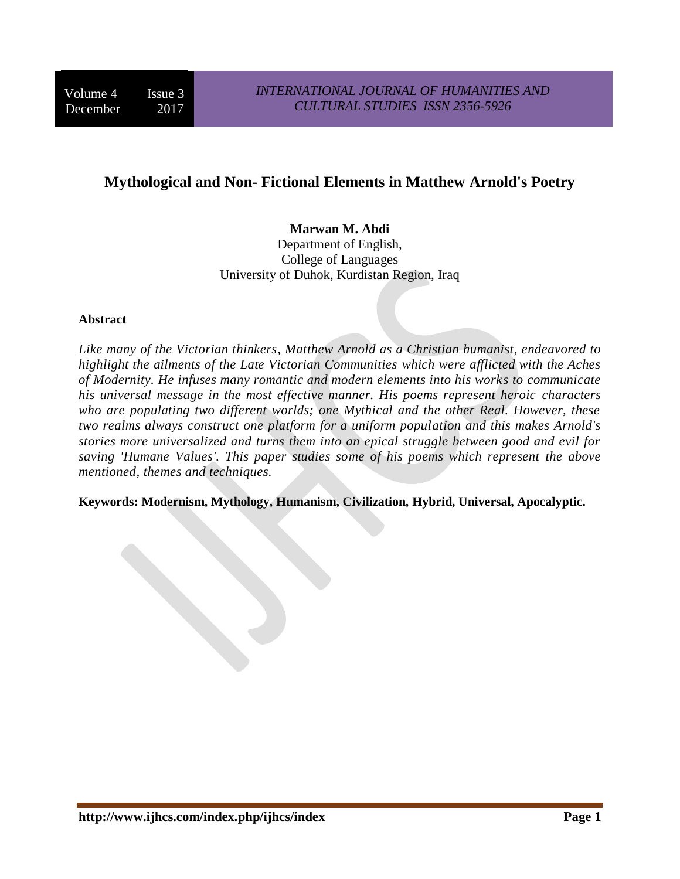# **Mythological and Non- Fictional Elements in Matthew Arnold's Poetry**

## **Marwan M. Abdi**

Department of English, College of Languages University of Duhok, Kurdistan Region, Iraq

#### **Abstract**

*Like many of the Victorian thinkers, Matthew Arnold as a Christian humanist, endeavored to highlight the ailments of the Late Victorian Communities which were afflicted with the Aches of Modernity. He infuses many romantic and modern elements into his works to communicate his universal message in the most effective manner. His poems represent heroic characters who are populating two different worlds; one Mythical and the other Real. However, these two realms always construct one platform for a uniform population and this makes Arnold's stories more universalized and turns them into an epical struggle between good and evil for saving 'Humane Values'. This paper studies some of his poems which represent the above mentioned, themes and techniques.*

**Keywords: Modernism, Mythology, Humanism, Civilization, Hybrid, Universal, Apocalyptic.**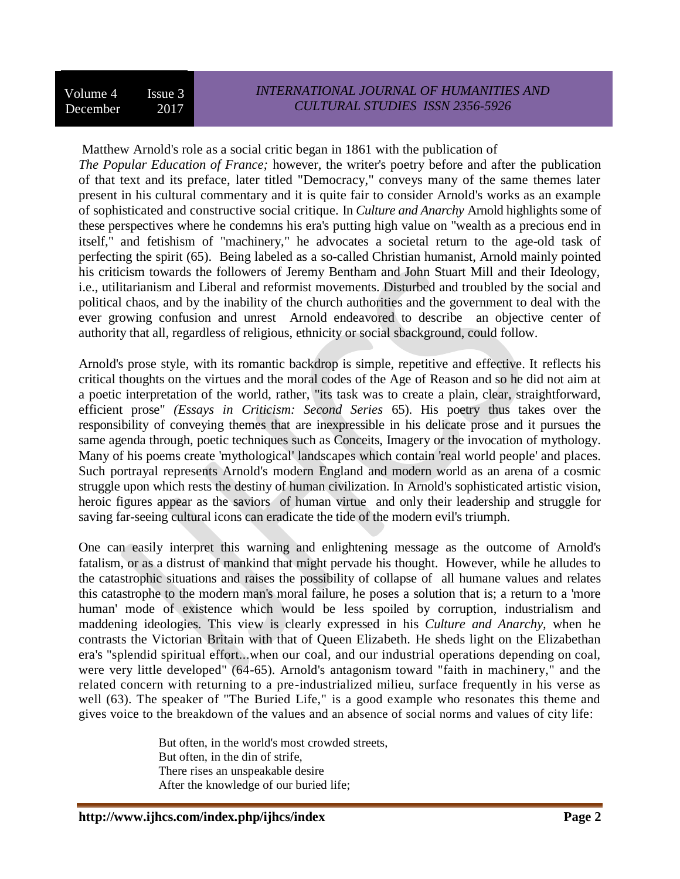Matthew Arnold's role as a social critic began in 1861 with the publication of

*The Popular Education of France;* however, the writer's poetry before and after the publication of that text and its preface, later titled "Democracy," conveys many of the same themes later present in his cultural commentary and it is quite fair to consider Arnold's works as an example of sophisticated and constructive social critique. In *Culture and Anarchy* Arnold highlights some of these perspectives where he condemns his era's putting high value on "wealth as a precious end in itself," and fetishism of "machinery," he advocates a societal return to the age-old task of perfecting the spirit (65). Being labeled as a so-called Christian humanist, Arnold mainly pointed his criticism towards the followers of Jeremy Bentham and John Stuart Mill and their Ideology, i.e., utilitarianism and Liberal and reformist movements. Disturbed and troubled by the social and political chaos, and by the inability of the church authorities and the government to deal with the ever growing confusion and unrest Arnold endeavored to describe an objective center of authority that all, regardless of religious, ethnicity or social sbackground, could follow.

Arnold's prose style, with its romantic backdrop is simple, repetitive and effective. It reflects his critical thoughts on the virtues and the moral codes of the Age of Reason and so he did not aim at a poetic interpretation of the world, rather, "its task was to create a plain, clear, straightforward, efficient prose" *(Essays in Criticism: Second Series* 65). His poetry thus takes over the responsibility of conveying themes that are inexpressible in his delicate prose and it pursues the same agenda through, poetic techniques such as Conceits, Imagery or the invocation of mythology. Many of his poems create 'mythological' landscapes which contain 'real world people' and places. Such portrayal represents Arnold's modern England and modern world as an arena of a cosmic struggle upon which rests the destiny of human civilization. In Arnold's sophisticated artistic vision, heroic figures appear as the saviors of human virtue and only their leadership and struggle for saving far-seeing cultural icons can eradicate the tide of the modern evil's triumph.

One can easily interpret this warning and enlightening message as the outcome of Arnold's fatalism, or as a distrust of mankind that might pervade his thought. However, while he alludes to the catastrophic situations and raises the possibility of collapse of all humane values and relates this catastrophe to the modern man's moral failure, he poses a solution that is; a return to a 'more human' mode of existence which would be less spoiled by corruption, industrialism and maddening ideologies. This view is clearly expressed in his *Culture and Anarchy,* when he contrasts the Victorian Britain with that of Queen Elizabeth. He sheds light on the Elizabethan era's "splendid spiritual effort...when our coal, and our industrial operations depending on coal, were very little developed" (64-65). Arnold's antagonism toward "faith in machinery," and the related concern with returning to a pre-industrialized milieu, surface frequently in his verse as well (63). The speaker of "The Buried Life," is a good example who resonates this theme and gives voice to the breakdown of the values and an absence of social norms and values of city life:

> But often, in the world's most crowded streets, But often, in the din of strife, There rises an unspeakable desire After the knowledge of our buried life;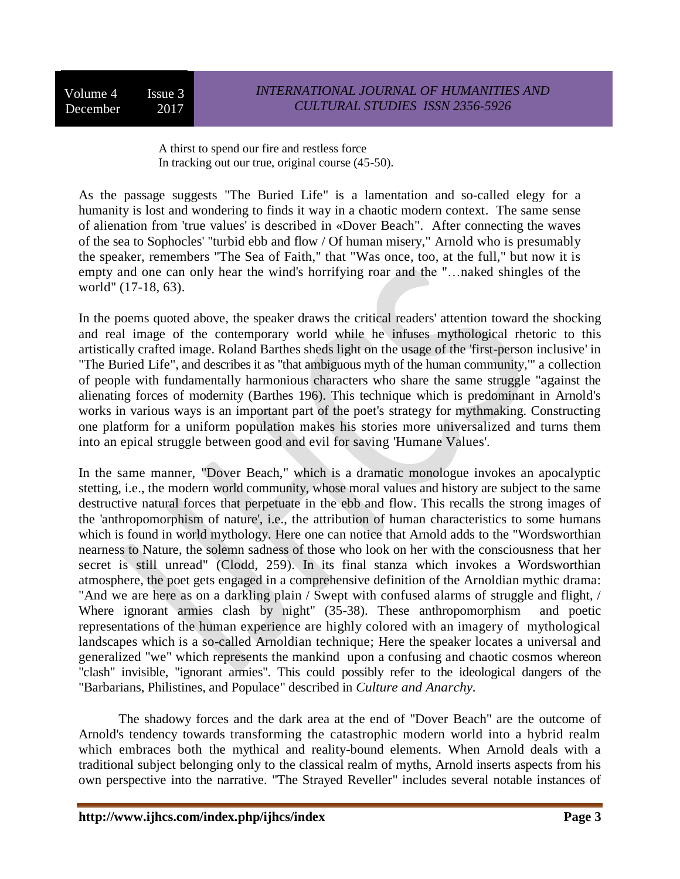Volume 4 Issue 3 December 2017

A thirst to spend our fire and restless force In tracking out our true, original course (45-50).

As the passage suggests "The Buried Life" is a lamentation and so-called elegy for a humanity is lost and wondering to finds it way in a chaotic modern context. The same sense of alienation from 'true values' is described in «Dover Beach". After connecting the waves of the sea to Sophocles' "turbid ebb and flow / Of human misery," Arnold who is presumably the speaker, remembers "The Sea of Faith," that "Was once, too, at the full," but now it is empty and one can only hear the wind's horrifying roar and the "…naked shingles of the world" (17-18, 63).

In the poems quoted above, the speaker draws the critical readers' attention toward the shocking and real image of the contemporary world while he infuses mythological rhetoric to this artistically crafted image. Roland Barthes sheds light on the usage of the 'first-person inclusive' in "The Buried Life", and describes it as "that ambiguous myth of the human community,'" a collection of people with fundamentally harmonious characters who share the same struggle "against the alienating forces of modernity (Barthes 196). This technique which is predominant in Arnold's works in various ways is an important part of the poet's strategy for mythmaking. Constructing one platform for a uniform population makes his stories more universalized and turns them into an epical struggle between good and evil for saving 'Humane Values'.

In the same manner, "Dover Beach," which is a dramatic monologue invokes an apocalyptic stetting, i.e., the modern world community, whose moral values and history are subject to the same destructive natural forces that perpetuate in the ebb and flow. This recalls the strong images of the 'anthropomorphism of nature', i.e., the attribution of human characteristics to some humans which is found in world mythology. Here one can notice that Arnold adds to the "Wordsworthian nearness to Nature, the solemn sadness of those who look on her with the consciousness that her secret is still unread" (Clodd, 259). In its final stanza which invokes a Wordsworthian atmosphere, the poet gets engaged in a comprehensive definition of the Arnoldian mythic drama: "And we are here as on a darkling plain / Swept with confused alarms of struggle and flight, / Where ignorant armies clash by night" (35-38). These anthropomorphism and poetic representations of the human experience are highly colored with an imagery of mythological landscapes which is a so-called Arnoldian technique; Here the speaker locates a universal and generalized "we" which represents the mankind upon a confusing and chaotic cosmos whereon "clash" invisible, "ignorant armies". This could possibly refer to the ideological dangers of the "Barbarians, Philistines, and Populace" described in *Culture and Anarchy.*

The shadowy forces and the dark area at the end of "Dover Beach" are the outcome of Arnold's tendency towards transforming the catastrophic modern world into a hybrid realm which embraces both the mythical and reality-bound elements. When Arnold deals with a traditional subject belonging only to the classical realm of myths, Arnold inserts aspects from his own perspective into the narrative. "The Strayed Reveller" includes several notable instances of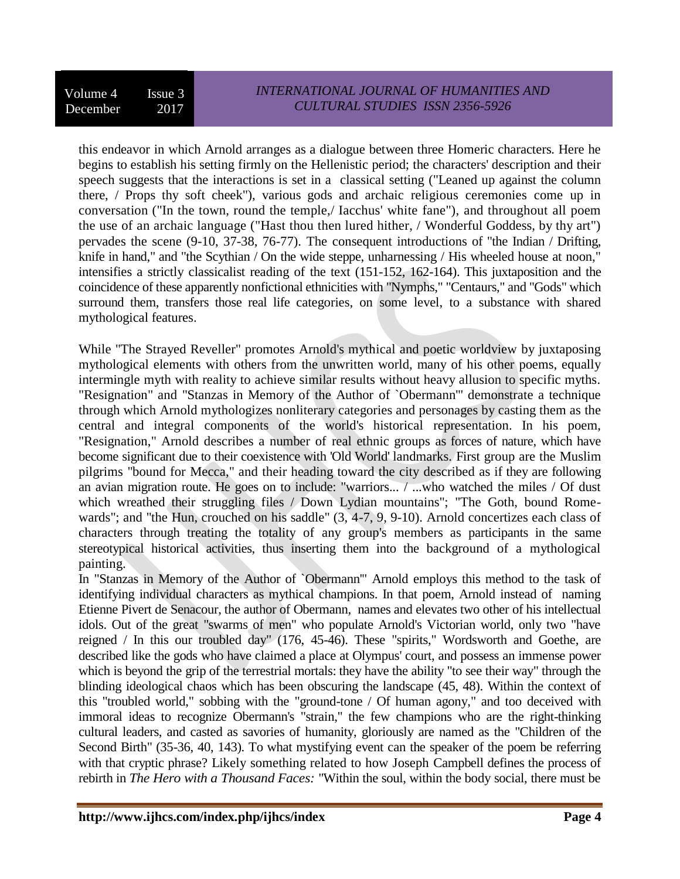this endeavor in which Arnold arranges as a dialogue between three Homeric characters. Here he begins to establish his setting firmly on the Hellenistic period; the characters' description and their speech suggests that the interactions is set in a classical setting ("Leaned up against the column there, / Props thy soft cheek"), various gods and archaic religious ceremonies come up in conversation ("In the town, round the temple,/ Iacchus' white fane"), and throughout all poem the use of an archaic language ("Hast thou then lured hither, / Wonderful Goddess, by thy art") pervades the scene (9-10, 37-38, 76-77). The consequent introductions of "the Indian / Drifting, knife in hand," and "the Scythian / On the wide steppe, unharnessing / His wheeled house at noon," intensifies a strictly classicalist reading of the text (151-152, 162-164). This juxtaposition and the coincidence of these apparently nonfictional ethnicities with "Nymphs," "Centaurs," and "Gods" which surround them, transfers those real life categories, on some level, to a substance with shared mythological features.

While "The Strayed Reveller" promotes Arnold's mythical and poetic worldview by juxtaposing mythological elements with others from the unwritten world, many of his other poems, equally intermingle myth with reality to achieve similar results without heavy allusion to specific myths. "Resignation" and "Stanzas in Memory of the Author of `Obermann'" demonstrate a technique through which Arnold mythologizes nonliterary categories and personages by casting them as the central and integral components of the world's historical representation. In his poem, "Resignation," Arnold describes a number of real ethnic groups as forces of nature, which have become significant due to their coexistence with 'Old World' landmarks. First group are the Muslim pilgrims "bound for Mecca," and their heading toward the city described as if they are following an avian migration route. He goes on to include: "warriors... / ...who watched the miles / Of dust which wreathed their struggling files / Down Lydian mountains"; "The Goth, bound Romewards"; and "the Hun, crouched on his saddle" (3, 4-7, 9, 9-10). Arnold concertizes each class of characters through treating the totality of any group's members as participants in the same stereotypical historical activities, thus inserting them into the background of a mythological painting.

In "Stanzas in Memory of the Author of `Obermann'" Arnold employs this method to the task of identifying individual characters as mythical champions. In that poem, Arnold instead of naming Etienne Pivert de Senacour, the author of Obermann, names and elevates two other of his intellectual idols. Out of the great "swarms of men" who populate Arnold's Victorian world, only two "have reigned / In this our troubled day" (176, 45-46). These "spirits," Wordsworth and Goethe, are described like the gods who have claimed a place at Olympus' court, and possess an immense power which is beyond the grip of the terrestrial mortals: they have the ability "to see their way" through the blinding ideological chaos which has been obscuring the landscape (45, 48). Within the context of this "troubled world," sobbing with the "ground-tone / Of human agony," and too deceived with immoral ideas to recognize Obermann's "strain," the few champions who are the right-thinking cultural leaders, and casted as savories of humanity, gloriously are named as the "Children of the Second Birth" (35-36, 40, 143). To what mystifying event can the speaker of the poem be referring with that cryptic phrase? Likely something related to how Joseph Campbell defines the process of rebirth in *The Hero with a Thousand Faces:* "Within the soul, within the body social, there must be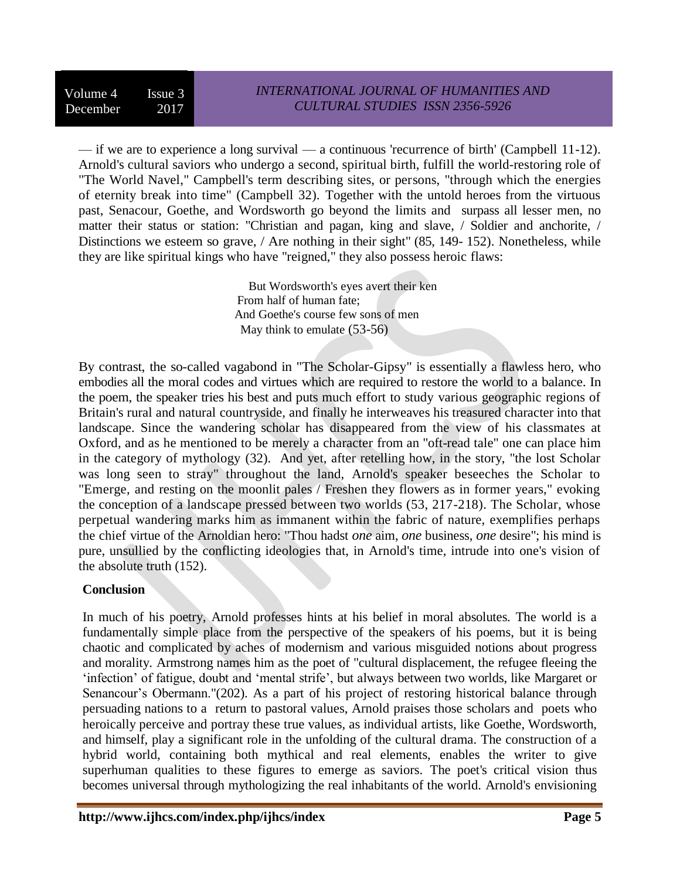— if we are to experience a long survival — a continuous 'recurrence of birth' (Campbell 11-12). Arnold's cultural saviors who undergo a second, spiritual birth, fulfill the world-restoring role of "The World Navel," Campbell's term describing sites, or persons, "through which the energies of eternity break into time" (Campbell 32). Together with the untold heroes from the virtuous past, Senacour, Goethe, and Wordsworth go beyond the limits and surpass all lesser men, no matter their status or station: "Christian and pagan, king and slave, / Soldier and anchorite, / Distinctions we esteem so grave, / Are nothing in their sight" (85, 149- 152). Nonetheless, while they are like spiritual kings who have "reigned," they also possess heroic flaws:

> But Wordsworth's eyes avert their ken From half of human fate; And Goethe's course few sons of men May think to emulate (53-56)

By contrast, the so-called vagabond in "The Scholar-Gipsy" is essentially a flawless hero, who embodies all the moral codes and virtues which are required to restore the world to a balance. In the poem, the speaker tries his best and puts much effort to study various geographic regions of Britain's rural and natural countryside, and finally he interweaves his treasured character into that landscape. Since the wandering scholar has disappeared from the view of his classmates at Oxford, and as he mentioned to be merely a character from an "oft-read tale" one can place him in the category of mythology (32). And yet, after retelling how, in the story, "the lost Scholar was long seen to stray" throughout the land, Arnold's speaker beseeches the Scholar to "Emerge, and resting on the moonlit pales / Freshen they flowers as in former years," evoking the conception of a landscape pressed between two worlds (53, 217-218). The Scholar, whose perpetual wandering marks him as immanent within the fabric of nature, exemplifies perhaps the chief virtue of the Arnoldian hero: "Thou hadst *one* aim, *one* business, *one* desire"; his mind is pure, unsullied by the conflicting ideologies that, in Arnold's time, intrude into one's vision of the absolute truth (152).

## **Conclusion**

In much of his poetry, Arnold professes hints at his belief in moral absolutes. The world is a fundamentally simple place from the perspective of the speakers of his poems, but it is being chaotic and complicated by aches of modernism and various misguided notions about progress and morality. Armstrong names him as the poet of "cultural displacement, the refugee fleeing the 'infection' of fatigue, doubt and 'mental strife', but always between two worlds, like Margaret or Senancour's Obermann."(202). As a part of his project of restoring historical balance through persuading nations to a return to pastoral values, Arnold praises those scholars and poets who heroically perceive and portray these true values, as individual artists, like Goethe, Wordsworth, and himself, play a significant role in the unfolding of the cultural drama. The construction of a hybrid world, containing both mythical and real elements, enables the writer to give superhuman qualities to these figures to emerge as saviors. The poet's critical vision thus becomes universal through mythologizing the real inhabitants of the world. Arnold's envisioning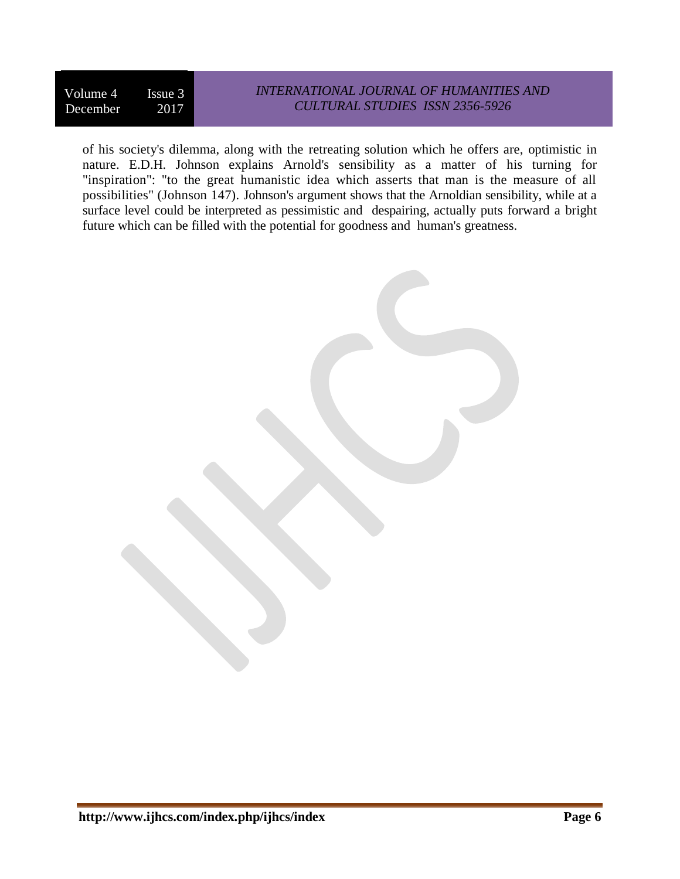Volume 4 Issue 3 December 2017

# *INTERNATIONAL JOURNAL OF HUMANITIES AND CULTURAL STUDIES ISSN 2356-5926*

of his society's dilemma, along with the retreating solution which he offers are, optimistic in nature. E.D.H. Johnson explains Arnold's sensibility as a matter of his turning for "inspiration": "to the great humanistic idea which asserts that man is the measure of all possibilities" (Johnson 147). Johnson's argument shows that the Arnoldian sensibility, while at a surface level could be interpreted as pessimistic and despairing, actually puts forward a bright future which can be filled with the potential for goodness and human's greatness.

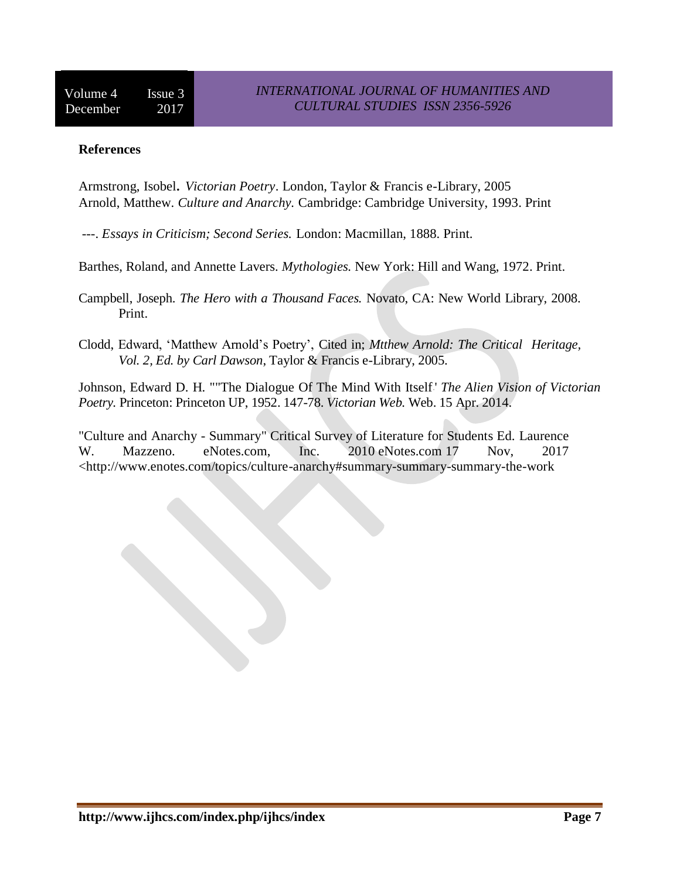### **References**

Armstrong, Isobel*. Victorian Poetry*. London, Taylor & Francis e-Library, 2005 Arnold, Matthew. *Culture and Anarchy.* Cambridge: Cambridge University, 1993. Print

---. *Essays in Criticism; Second Series.* London: Macmillan, 1888. Print.

Barthes, Roland, and Annette Lavers. *Mythologies.* New York: Hill and Wang, 1972. Print.

Campbell, Joseph. *The Hero with a Thousand Faces.* Novato, CA: New World Library, 2008. Print.

Clodd, Edward, 'Matthew Arnold's Poetry', Cited in; *Mtthew Arnold: The Critical Heritage, Vol. 2, Ed. by Carl Dawson*, Taylor & Francis e-Library, 2005.

Johnson, Edward D. H. ""The Dialogue Of The Mind With Itself.' *The Alien Vision of Victorian Poetry.* Princeton: Princeton UP, 1952. 147-78. *Victorian Web.* Web. 15 Apr. 2014.

"Culture and Anarchy - Summary" Critical Survey of Literature for Students Ed. Laurence W. Mazzeno. eNotes.com, Inc. 2010 eNotes.com 17 Nov, 2017 <http://www.enotes.com/topics/culture-anarchy#summary-summary-summary-the-work